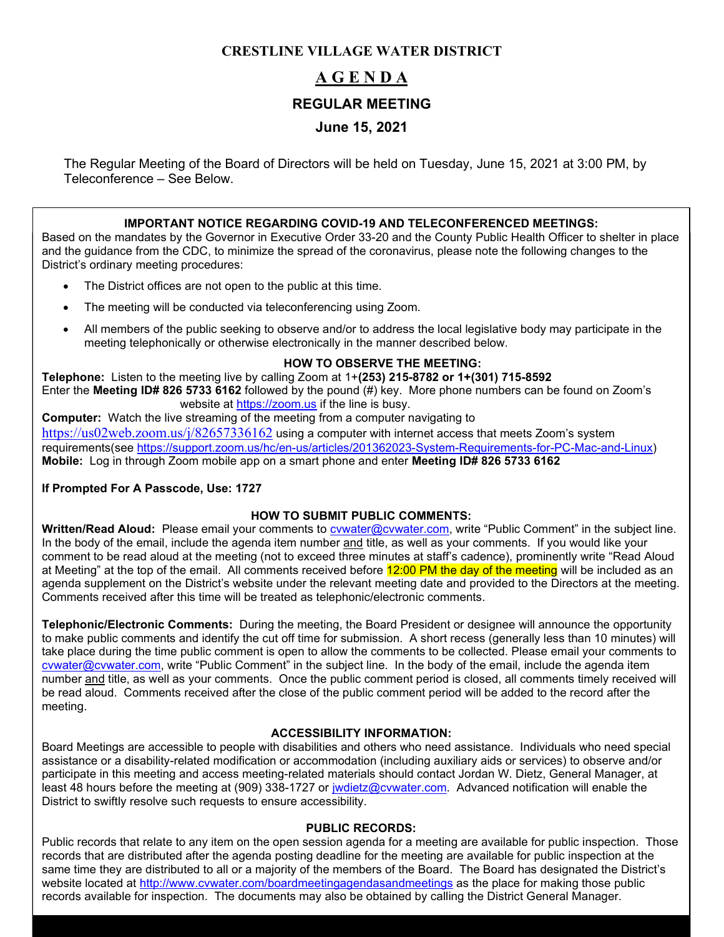#### **CRESTLINE VILLAGE WATER DISTRICT**

# **A G E N D A**

#### **REGULAR MEETING**

## **June 15, 2021**

The Regular Meeting of the Board of Directors will be held on Tuesday, June 15, 2021 at 3:00 PM, by Teleconference – See Below.

#### **IMPORTANT NOTICE REGARDING COVID-19 AND TELECONFERENCED MEETINGS:**

Based on the mandates by the Governor in Executive Order 33-20 and the County Public Health Officer to shelter in place and the guidance from the CDC, to minimize the spread of the coronavirus, please note the following changes to the District's ordinary meeting procedures:

- The District offices are not open to the public at this time.
- The meeting will be conducted via teleconferencing using Zoom.
- All members of the public seeking to observe and/or to address the local legislative body may participate in the meeting telephonically or otherwise electronically in the manner described below.

#### **HOW TO OBSERVE THE MEETING:**

**Telephone:** Listen to the meeting live by calling Zoom at 1+**(253) 215-8782 or 1+(301) 715-8592** Enter the **Meeting ID# 826 5733 6162** followed by the pound (#) key. More phone numbers can be found on Zoom's website at [https://zoom.us](https://zoom.us/) if the line is busy.

**Computer:** Watch the live streaming of the meeting from a computer navigating to <https://us02web.zoom.us/j/82657336162> using a computer with internet access that meets Zoom's system requirements(see [https://support.zoom.us/hc/en-us/articles/201362023-System-Requirements-for-PC-Mac-and-Linux\)](https://support.zoom.us/hc/en-us/articles/201362023-System-Requirements-for-PC-Mac-and-Linux) **Mobile:** Log in through Zoom mobile app on a smart phone and enter **Meeting ID# 826 5733 6162**

#### **If Prompted For A Passcode, Use: 1727**

#### **HOW TO SUBMIT PUBLIC COMMENTS:**

**Written/Read Aloud:** Please email your comments to [cvwater@cvwater.com,](mailto:cvwater@cvwater.com) write "Public Comment" in the subject line. In the body of the email, include the agenda item number and title, as well as your comments. If you would like your comment to be read aloud at the meeting (not to exceed three minutes at staff's cadence), prominently write "Read Aloud at Meeting" at the top of the email. All comments received before 12:00 PM the day of the meeting will be included as an agenda supplement on the District's website under the relevant meeting date and provided to the Directors at the meeting. Comments received after this time will be treated as telephonic/electronic comments.

**Telephonic/Electronic Comments:** During the meeting, the Board President or designee will announce the opportunity to make public comments and identify the cut off time for submission. A short recess (generally less than 10 minutes) will take place during the time public comment is open to allow the comments to be collected. Please email your comments to [cvwater@cvwater.com,](mailto:cvwater@cvwater.com) write "Public Comment" in the subject line. In the body of the email, include the agenda item number and title, as well as your comments. Once the public comment period is closed, all comments timely received will be read aloud. Comments received after the close of the public comment period will be added to the record after the meeting.

#### **ACCESSIBILITY INFORMATION:**

Board Meetings are accessible to people with disabilities and others who need assistance. Individuals who need special assistance or a disability-related modification or accommodation (including auxiliary aids or services) to observe and/or participate in this meeting and access meeting-related materials should contact Jordan W. Dietz, General Manager, at least 48 hours before the meeting at (909) 338-1727 or [jwdietz@cvwater.com.](mailto:jwdietz@cvwater.com) Advanced notification will enable the District to swiftly resolve such requests to ensure accessibility.

#### **PUBLIC RECORDS:**

Public records that relate to any item on the open session agenda for a meeting are available for public inspection. Those records that are distributed after the agenda posting deadline for the meeting are available for public inspection at the same time they are distributed to all or a majority of the members of the Board. The Board has designated the District's website located at<http://www.cvwater.com/boardmeetingagendasandmeetings> as the place for making those public records available for inspection. The documents may also be obtained by calling the District General Manager.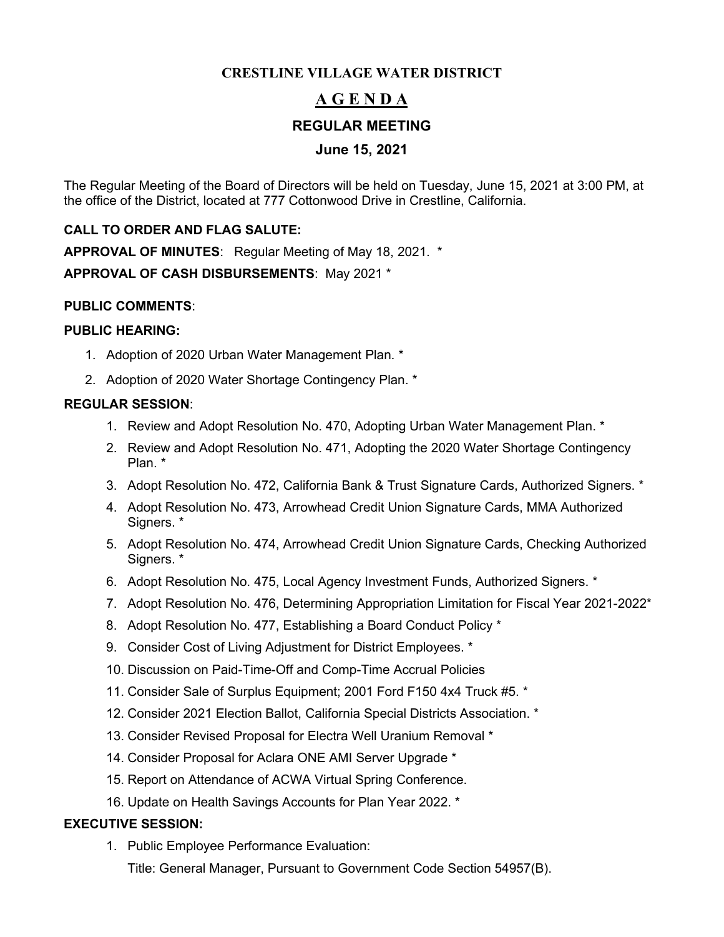#### **CRESTLINE VILLAGE WATER DISTRICT**

# **A G E N D A**

#### **REGULAR MEETING**

#### **June 15, 2021**

The Regular Meeting of the Board of Directors will be held on Tuesday, June 15, 2021 at 3:00 PM, at the office of the District, located at 777 Cottonwood Drive in Crestline, California.

#### **CALL TO ORDER AND FLAG SALUTE:**

**APPROVAL OF MINUTES**: Regular Meeting of May 18, 2021. \* **APPROVAL OF CASH DISBURSEMENTS**: May 2021 \*

#### **PUBLIC COMMENTS**:

#### **PUBLIC HEARING:**

- 1. Adoption of 2020 Urban Water Management Plan. \*
- 2. Adoption of 2020 Water Shortage Contingency Plan. \*

#### **REGULAR SESSION**:

- 1. Review and Adopt Resolution No. 470, Adopting Urban Water Management Plan. \*
- 2. Review and Adopt Resolution No. 471, Adopting the 2020 Water Shortage Contingency Plan. \*
- 3. Adopt Resolution No. 472, California Bank & Trust Signature Cards, Authorized Signers. \*
- 4. Adopt Resolution No. 473, Arrowhead Credit Union Signature Cards, MMA Authorized Signers. \*
- 5. Adopt Resolution No. 474, Arrowhead Credit Union Signature Cards, Checking Authorized Signers. \*
- 6. Adopt Resolution No. 475, Local Agency Investment Funds, Authorized Signers. \*
- 7. Adopt Resolution No. 476, Determining Appropriation Limitation for Fiscal Year 2021-2022\*
- 8. Adopt Resolution No. 477, Establishing a Board Conduct Policy \*
- 9. Consider Cost of Living Adjustment for District Employees. \*
- 10. Discussion on Paid-Time-Off and Comp-Time Accrual Policies
- 11. Consider Sale of Surplus Equipment; 2001 Ford F150 4x4 Truck #5. \*
- 12. Consider 2021 Election Ballot, California Special Districts Association. \*
- 13. Consider Revised Proposal for Electra Well Uranium Removal \*
- 14. Consider Proposal for Aclara ONE AMI Server Upgrade \*
- 15. Report on Attendance of ACWA Virtual Spring Conference.
- 16. Update on Health Savings Accounts for Plan Year 2022. \*

#### **EXECUTIVE SESSION:**

1. Public Employee Performance Evaluation:

Title: General Manager, Pursuant to Government Code Section 54957(B).